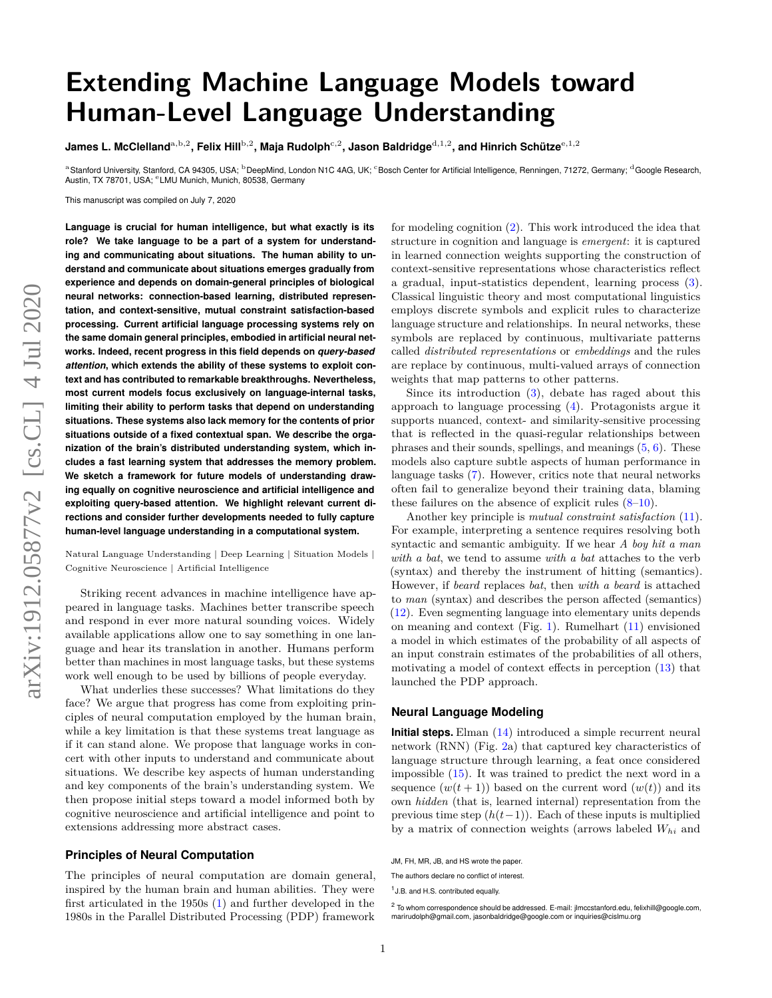# **Extending Machine Language Models toward Human-Level Language Understanding**

**James L. McClelland** $^{\rm a,b,2}$ **, Felix Hill** $^{\rm b,2}$ **, Maja Rudolph** $^{\rm c,2}$ **, Jason Baldridge** $^{\rm d,1,2}$ **, and Hinrich Schütze** $^{\rm e,1,2}$ 

a Stanford University, Stanford, CA 94305, USA; <sup>b</sup>DeepMind, London N1C 4AG, UK; °Bosch Center for Artificial Intelligence, Renningen, 71272, Germany; <sup>d</sup>Google Research, Austin, TX 78701, USA; <sup>e</sup> LMU Munich, Munich, 80538, Germany

This manuscript was compiled on July 7, 2020

**Language is crucial for human intelligence, but what exactly is its role? We take language to be a part of a system for understanding and communicating about situations. The human ability to understand and communicate about situations emerges gradually from experience and depends on domain-general principles of biological neural networks: connection-based learning, distributed representation, and context-sensitive, mutual constraint satisfaction-based processing. Current artificial language processing systems rely on the same domain general principles, embodied in artificial neural networks. Indeed, recent progress in this field depends on** *query-based attention***, which extends the ability of these systems to exploit context and has contributed to remarkable breakthroughs. Nevertheless, most current models focus exclusively on language-internal tasks, limiting their ability to perform tasks that depend on understanding situations. These systems also lack memory for the contents of prior situations outside of a fixed contextual span. We describe the organization of the brain's distributed understanding system, which includes a fast learning system that addresses the memory problem. We sketch a framework for future models of understanding drawing equally on cognitive neuroscience and artificial intelligence and exploiting query-based attention. We highlight relevant current directions and consider further developments needed to fully capture human-level language understanding in a computational system.**

Natural Language Understanding | Deep Learning | Situation Models | Cognitive Neuroscience | Artificial Intelligence

Striking recent advances in machine intelligence have appeared in language tasks. Machines better transcribe speech and respond in ever more natural sounding voices. Widely available applications allow one to say something in one language and hear its translation in another. Humans perform better than machines in most language tasks, but these systems work well enough to be used by billions of people everyday.

What underlies these successes? What limitations do they face? We argue that progress has come from exploiting principles of neural computation employed by the human brain, while a key limitation is that these systems treat language as if it can stand alone. We propose that language works in concert with other inputs to understand and communicate about situations. We describe key aspects of human understanding and key components of the brain's understanding system. We then propose initial steps toward a model informed both by cognitive neuroscience and artificial intelligence and point to extensions addressing more abstract cases.

#### **Principles of Neural Computation**

The principles of neural computation are domain general, inspired by the human brain and human abilities. They were first articulated in the 1950s [\(1\)](#page-6-0) and further developed in the 1980s in the Parallel Distributed Processing (PDP) framework for modeling cognition [\(2\)](#page-6-1). This work introduced the idea that structure in cognition and language is *emergent*: it is captured in learned connection weights supporting the construction of context-sensitive representations whose characteristics reflect a gradual, input-statistics dependent, learning process [\(3\)](#page-6-2). Classical linguistic theory and most computational linguistics employs discrete symbols and explicit rules to characterize language structure and relationships. In neural networks, these symbols are replaced by continuous, multivariate patterns called *distributed representations* or *embeddings* and the rules are replace by continuous, multi-valued arrays of connection weights that map patterns to other patterns.

Since its introduction [\(3\)](#page-6-2), debate has raged about this approach to language processing [\(4\)](#page-6-3). Protagonists argue it supports nuanced, context- and similarity-sensitive processing that is reflected in the quasi-regular relationships between phrases and their sounds, spellings, and meanings  $(5, 6)$  $(5, 6)$  $(5, 6)$ . These models also capture subtle aspects of human performance in language tasks [\(7\)](#page-6-6). However, critics note that neural networks often fail to generalize beyond their training data, blaming these failures on the absence of explicit rules  $(8-10)$  $(8-10)$ .

Another key principle is *mutual constraint satisfaction* [\(11\)](#page-6-9). For example, interpreting a sentence requires resolving both syntactic and semantic ambiguity. If we hear *A boy hit a man with a bat*, we tend to assume *with a bat* attaches to the verb (syntax) and thereby the instrument of hitting (semantics). However, if *beard* replaces *bat*, then *with a beard* is attached to *man* (syntax) and describes the person affected (semantics) [\(12\)](#page-6-10). Even segmenting language into elementary units depends on meaning and context (Fig. [1\)](#page-1-0). Rumelhart [\(11\)](#page-6-9) envisioned a model in which estimates of the probability of all aspects of an input constrain estimates of the probabilities of all others, motivating a model of context effects in perception [\(13\)](#page-6-11) that launched the PDP approach.

## **Neural Language Modeling**

**Initial steps.** Elman [\(14\)](#page-6-12) introduced a simple recurrent neural network (RNN) (Fig. [2a](#page-1-1)) that captured key characteristics of language structure through learning, a feat once considered impossible [\(15\)](#page-6-13). It was trained to predict the next word in a sequence  $(w(t + 1))$  based on the current word  $(w(t))$  and its own *hidden* (that is, learned internal) representation from the previous time step  $(h(t-1))$ . Each of these inputs is multiplied by a matrix of connection weights (arrows labeled *Whi* and

JM, FH, MR, JB, and HS wrote the paper.

The authors declare no conflict of interest.

<sup>&</sup>lt;sup>1</sup> J.B. and H.S. contributed equally.

<sup>2</sup> To whom correspondence should be addressed. E-mail: jlmccstanford.edu, felixhill@google.com, marirudolph@gmail.com, jasonbaldridge@google.com or inquiries@cislmu.org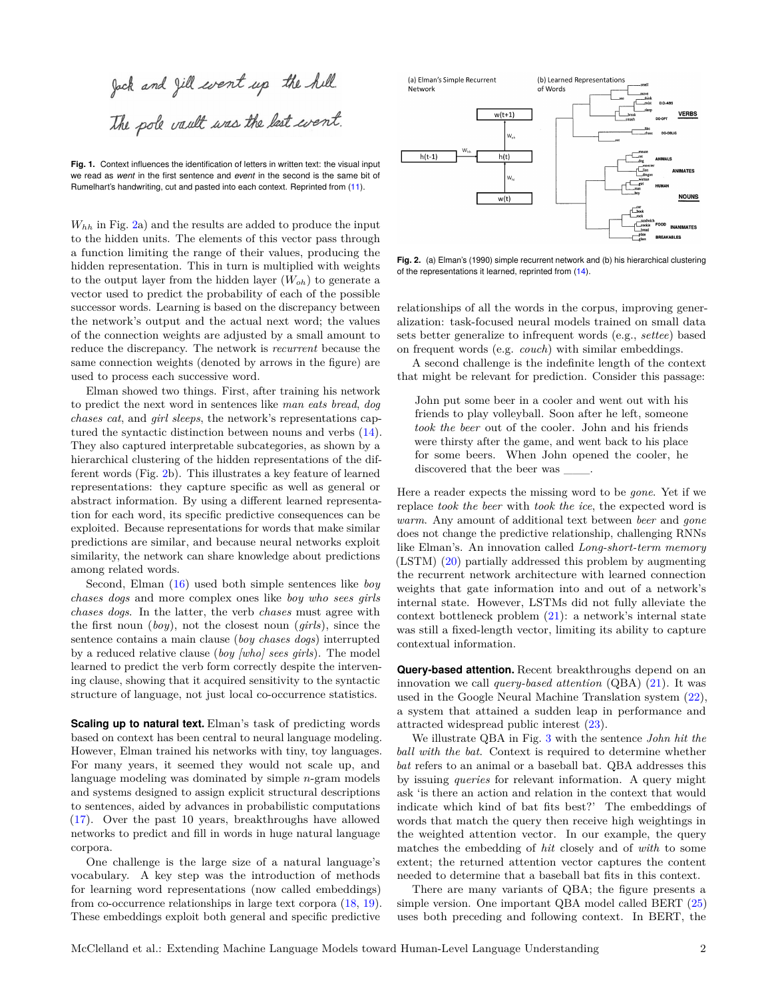<span id="page-1-0"></span>Jack and Jill went up the hill. The pole vault was the last went.

**Fig. 1.** Context influences the identification of letters in written text: the visual input we read as *went* in the first sentence and *event* in the second is the same bit of Rumelhart's handwriting, cut and pasted into each context. Reprinted from [\(11\)](#page-6-9).

*Whh* in Fig. [2a](#page-1-1)) and the results are added to produce the input to the hidden units. The elements of this vector pass through a function limiting the range of their values, producing the hidden representation. This in turn is multiplied with weights to the output layer from the hidden layer  $(W_{oh})$  to generate a vector used to predict the probability of each of the possible successor words. Learning is based on the discrepancy between the network's output and the actual next word; the values of the connection weights are adjusted by a small amount to reduce the discrepancy. The network is *recurrent* because the same connection weights (denoted by arrows in the figure) are used to process each successive word.

Elman showed two things. First, after training his network to predict the next word in sentences like *man eats bread*, *dog chases cat*, and *girl sleeps*, the network's representations captured the syntactic distinction between nouns and verbs [\(14\)](#page-6-12). They also captured interpretable subcategories, as shown by a hierarchical clustering of the hidden representations of the different words (Fig. [2b](#page-1-1)). This illustrates a key feature of learned representations: they capture specific as well as general or abstract information. By using a different learned representation for each word, its specific predictive consequences can be exploited. Because representations for words that make similar predictions are similar, and because neural networks exploit similarity, the network can share knowledge about predictions among related words.

Second, Elman [\(16\)](#page-6-14) used both simple sentences like *boy chases dogs* and more complex ones like *boy who sees girls chases dogs*. In the latter, the verb *chases* must agree with the first noun (*boy*), not the closest noun (*girls*), since the sentence contains a main clause (*boy chases dogs*) interrupted by a reduced relative clause (*boy [who] sees girls*). The model learned to predict the verb form correctly despite the intervening clause, showing that it acquired sensitivity to the syntactic structure of language, not just local co-occurrence statistics.

**Scaling up to natural text.** Elman's task of predicting words based on context has been central to neural language modeling. However, Elman trained his networks with tiny, toy languages. For many years, it seemed they would not scale up, and language modeling was dominated by simple *n*-gram models and systems designed to assign explicit structural descriptions to sentences, aided by advances in probabilistic computations [\(17\)](#page-6-15). Over the past 10 years, breakthroughs have allowed networks to predict and fill in words in huge natural language corpora.

One challenge is the large size of a natural language's vocabulary. A key step was the introduction of methods for learning word representations (now called embeddings) from co-occurrence relationships in large text corpora [\(18,](#page-7-0) [19\)](#page-7-1). These embeddings exploit both general and specific predictive

<span id="page-1-1"></span>

**Fig. 2.** (a) Elman's (1990) simple recurrent network and (b) his hierarchical clustering of the representations it learned, reprinted from [\(14\)](#page-6-12).

relationships of all the words in the corpus, improving generalization: task-focused neural models trained on small data sets better generalize to infrequent words (e.g., *settee*) based on frequent words (e.g. *couch*) with similar embeddings.

A second challenge is the indefinite length of the context that might be relevant for prediction. Consider this passage:

John put some beer in a cooler and went out with his friends to play volleyball. Soon after he left, someone *took the beer* out of the cooler. John and his friends were thirsty after the game, and went back to his place for some beers. When John opened the cooler, he discovered that the beer was \_\_\_.

Here a reader expects the missing word to be *gone*. Yet if we replace *took the beer* with *took the ice*, the expected word is *warm*. Any amount of additional text between *beer* and *gone* does not change the predictive relationship, challenging RNNs like Elman's. An innovation called *Long-short-term memory* (LSTM) [\(20\)](#page-7-2) partially addressed this problem by augmenting the recurrent network architecture with learned connection weights that gate information into and out of a network's internal state. However, LSTMs did not fully alleviate the context bottleneck problem [\(21\)](#page-7-3): a network's internal state was still a fixed-length vector, limiting its ability to capture contextual information.

**Query-based attention.** Recent breakthroughs depend on an innovation we call *query-based attention* (QBA) [\(21\)](#page-7-3). It was used in the Google Neural Machine Translation system [\(22\)](#page-7-4), a system that attained a sudden leap in performance and attracted widespread public interest [\(23\)](#page-7-5).

We illustrate QBA in Fig. [3](#page-2-0) with the sentence *John hit the ball with the bat*. Context is required to determine whether *bat* refers to an animal or a baseball bat. QBA addresses this by issuing *queries* for relevant information. A query might ask 'is there an action and relation in the context that would indicate which kind of bat fits best?' The embeddings of words that match the query then receive high weightings in the weighted attention vector. In our example, the query matches the embedding of *hit* closely and of *with* to some extent; the returned attention vector captures the content needed to determine that a baseball bat fits in this context.

There are many variants of QBA; the figure presents a simple version. One important QBA model called BERT [\(25\)](#page-7-6) uses both preceding and following context. In BERT, the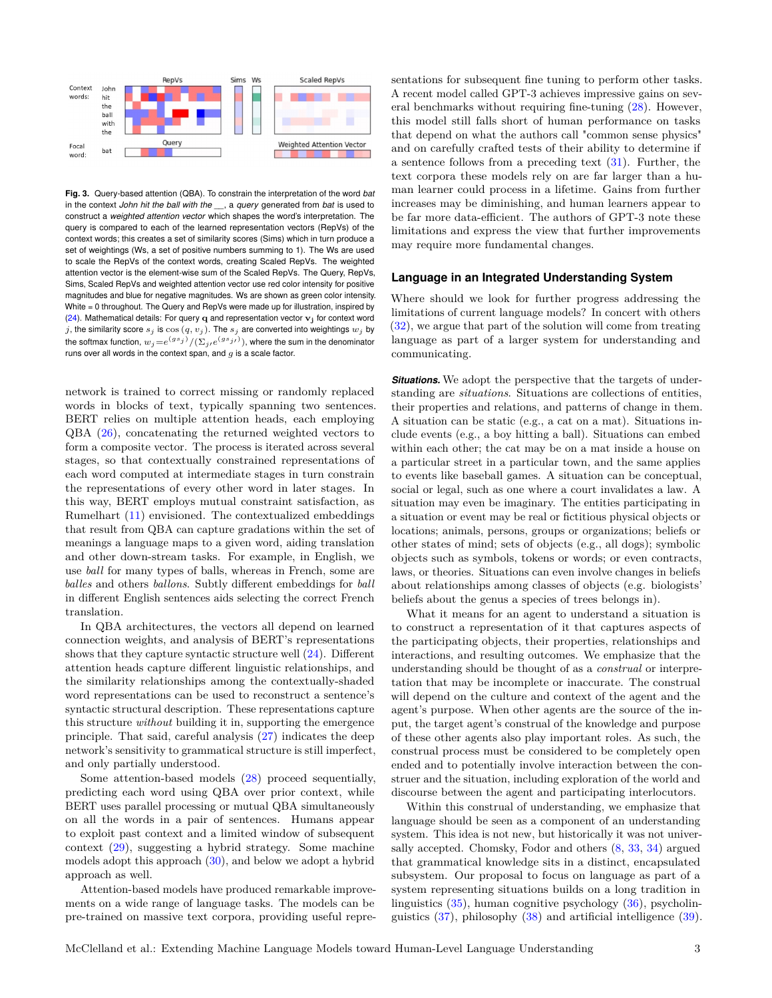<span id="page-2-0"></span>

**Fig. 3.** Query-based attention (QBA). To constrain the interpretation of the word *bat* in the context *John hit the ball with the \_\_*, a *query* generated from *bat* is used to construct a *weighted attention vector* which shapes the word's interpretation. The query is compared to each of the learned representation vectors (RepVs) of the context words; this creates a set of similarity scores (Sims) which in turn produce a set of weightings (Ws, a set of positive numbers summing to 1). The Ws are used to scale the RepVs of the context words, creating Scaled RepVs. The weighted attention vector is the element-wise sum of the Scaled RepVs. The Query, RepVs, Sims, Scaled RepVs and weighted attention vector use red color intensity for positive magnitudes and blue for negative magnitudes. Ws are shown as green color intensity. White = 0 throughout. The Query and RepVs were made up for illustration, inspired by [\(24\)](#page-7-7). Mathematical details: For query **q** and representation vector **v<sup>j</sup>** for context word  $j$ , the similarity score  $s_j$  is  $\cos(q, v_j)$ . The  $s_j$  are converted into weightings  $w_j$  by the softmax function,  $w_j{=}e^{(gs_j)}/(\Sigma_j,e^{(gs_{jf})})$ , where the sum in the denominator runs over all words in the context span, and *g* is a scale factor.

network is trained to correct missing or randomly replaced words in blocks of text, typically spanning two sentences. BERT relies on multiple attention heads, each employing QBA [\(26\)](#page-7-8), concatenating the returned weighted vectors to form a composite vector. The process is iterated across several stages, so that contextually constrained representations of each word computed at intermediate stages in turn constrain the representations of every other word in later stages. In this way, BERT employs mutual constraint satisfaction, as Rumelhart [\(11\)](#page-6-9) envisioned. The contextualized embeddings that result from QBA can capture gradations within the set of meanings a language maps to a given word, aiding translation and other down-stream tasks. For example, in English, we use *ball* for many types of balls, whereas in French, some are *balles* and others *ballons*. Subtly different embeddings for *ball* in different English sentences aids selecting the correct French translation.

In QBA architectures, the vectors all depend on learned connection weights, and analysis of BERT's representations shows that they capture syntactic structure well  $(24)$ . Different attention heads capture different linguistic relationships, and the similarity relationships among the contextually-shaded word representations can be used to reconstruct a sentence's syntactic structural description. These representations capture this structure *without* building it in, supporting the emergence principle. That said, careful analysis [\(27\)](#page-7-9) indicates the deep network's sensitivity to grammatical structure is still imperfect, and only partially understood.

Some attention-based models [\(28\)](#page-7-10) proceed sequentially, predicting each word using QBA over prior context, while BERT uses parallel processing or mutual QBA simultaneously on all the words in a pair of sentences. Humans appear to exploit past context and a limited window of subsequent context [\(29\)](#page-7-11), suggesting a hybrid strategy. Some machine models adopt this approach  $(30)$ , and below we adopt a hybrid approach as well.

Attention-based models have produced remarkable improvements on a wide range of language tasks. The models can be pre-trained on massive text corpora, providing useful representations for subsequent fine tuning to perform other tasks. A recent model called GPT-3 achieves impressive gains on several benchmarks without requiring fine-tuning [\(28\)](#page-7-10). However, this model still falls short of human performance on tasks that depend on what the authors call "common sense physics" and on carefully crafted tests of their ability to determine if a sentence follows from a preceding text  $(31)$ . Further, the text corpora these models rely on are far larger than a human learner could process in a lifetime. Gains from further increases may be diminishing, and human learners appear to be far more data-efficient. The authors of GPT-3 note these limitations and express the view that further improvements may require more fundamental changes.

## **Language in an Integrated Understanding System**

Where should we look for further progress addressing the limitations of current language models? In concert with others [\(32\)](#page-7-14), we argue that part of the solution will come from treating language as part of a larger system for understanding and communicating.

**Situations.** We adopt the perspective that the targets of understanding are *situations*. Situations are collections of entities, their properties and relations, and patterns of change in them. A situation can be static (e.g., a cat on a mat). Situations include events (e.g., a boy hitting a ball). Situations can embed within each other; the cat may be on a mat inside a house on a particular street in a particular town, and the same applies to events like baseball games. A situation can be conceptual, social or legal, such as one where a court invalidates a law. A situation may even be imaginary. The entities participating in a situation or event may be real or fictitious physical objects or locations; animals, persons, groups or organizations; beliefs or other states of mind; sets of objects (e.g., all dogs); symbolic objects such as symbols, tokens or words; or even contracts, laws, or theories. Situations can even involve changes in beliefs about relationships among classes of objects (e.g. biologists' beliefs about the genus a species of trees belongs in).

What it means for an agent to understand a situation is to construct a representation of it that captures aspects of the participating objects, their properties, relationships and interactions, and resulting outcomes. We emphasize that the understanding should be thought of as a *construal* or interpretation that may be incomplete or inaccurate. The construal will depend on the culture and context of the agent and the agent's purpose. When other agents are the source of the input, the target agent's construal of the knowledge and purpose of these other agents also play important roles. As such, the construal process must be considered to be completely open ended and to potentially involve interaction between the construer and the situation, including exploration of the world and discourse between the agent and participating interlocutors.

Within this construal of understanding, we emphasize that language should be seen as a component of an understanding system. This idea is not new, but historically it was not universally accepted. Chomsky, Fodor and others [\(8,](#page-6-7) [33,](#page-7-15) [34\)](#page-7-16) argued that grammatical knowledge sits in a distinct, encapsulated subsystem. Our proposal to focus on language as part of a system representing situations builds on a long tradition in linguistics  $(35)$ , human cognitive psychology  $(36)$ , psycholinguistics  $(37)$ , philosophy  $(38)$  and artificial intelligence  $(39)$ .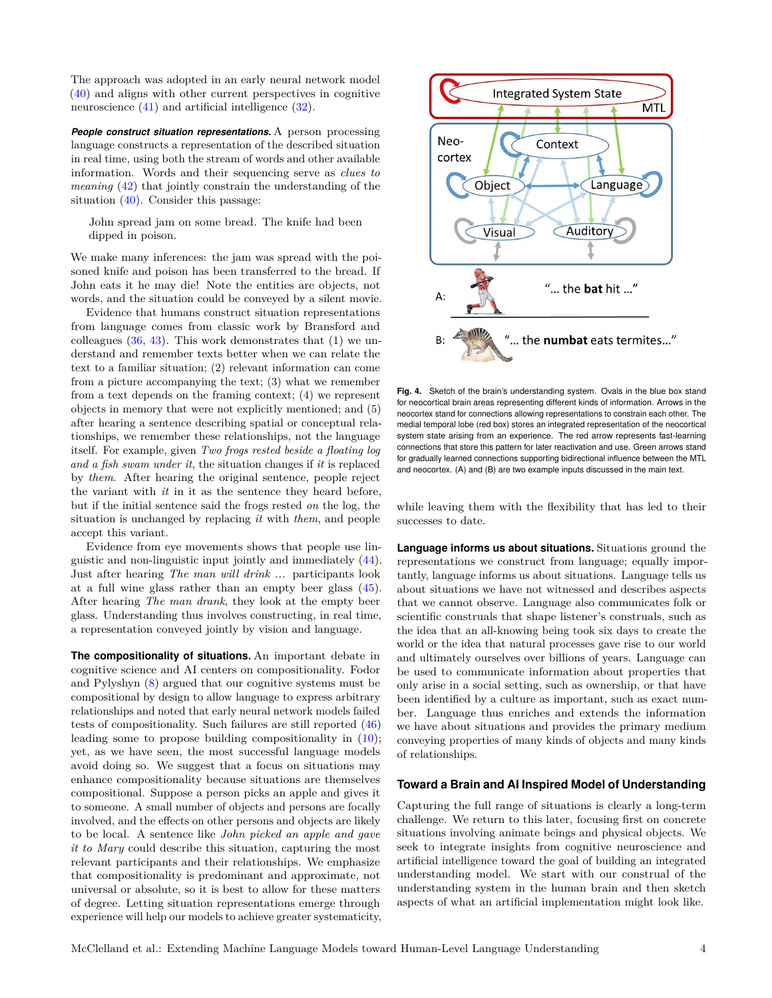The approach was adopted in an early neural network model [\(40\)](#page-7-22) and aligns with other current perspectives in cognitive neuroscience [\(41\)](#page-7-23) and artificial intelligence [\(32\)](#page-7-14).

**People construct situation representations.** A person processing language constructs a representation of the described situation in real time, using both the stream of words and other available information. Words and their sequencing serve as *clues to meaning* [\(42\)](#page-7-24) that jointly constrain the understanding of the situation [\(40\)](#page-7-22). Consider this passage:

John spread jam on some bread. The knife had been dipped in poison.

We make many inferences: the jam was spread with the poisoned knife and poison has been transferred to the bread. If John eats it he may die! Note the entities are objects, not words, and the situation could be conveyed by a silent movie.

Evidence that humans construct situation representations from language comes from classic work by Bransford and colleagues  $(36, 43)$  $(36, 43)$  $(36, 43)$ . This work demonstrates that  $(1)$  we understand and remember texts better when we can relate the text to a familiar situation; (2) relevant information can come from a picture accompanying the text; (3) what we remember from a text depends on the framing context; (4) we represent objects in memory that were not explicitly mentioned; and (5) after hearing a sentence describing spatial or conceptual relationships, we remember these relationships, not the language itself. For example, given *Two frogs rested beside a floating log and a fish swam under it*, the situation changes if *it* is replaced by *them*. After hearing the original sentence, people reject the variant with *it* in it as the sentence they heard before, but if the initial sentence said the frogs rested *on* the log, the situation is unchanged by replacing *it* with *them*, and people accept this variant.

Evidence from eye movements shows that people use linguistic and non-linguistic input jointly and immediately [\(44\)](#page-7-26). Just after hearing *The man will drink ...* participants look at a full wine glass rather than an empty beer glass [\(45\)](#page-7-27). After hearing *The man drank*, they look at the empty beer glass. Understanding thus involves constructing, in real time, a representation conveyed jointly by vision and language.

**The compositionality of situations.** An important debate in cognitive science and AI centers on compositionality. Fodor and Pylyshyn [\(8\)](#page-6-7) argued that our cognitive systems must be compositional by design to allow language to express arbitrary relationships and noted that early neural network models failed tests of compositionality. Such failures are still reported [\(46\)](#page-7-28) leading some to propose building compositionality in [\(10\)](#page-6-8); yet, as we have seen, the most successful language models avoid doing so. We suggest that a focus on situations may enhance compositionality because situations are themselves compositional. Suppose a person picks an apple and gives it to someone. A small number of objects and persons are focally involved, and the effects on other persons and objects are likely to be local. A sentence like *John picked an apple and gave it to Mary* could describe this situation, capturing the most relevant participants and their relationships. We emphasize that compositionality is predominant and approximate, not universal or absolute, so it is best to allow for these matters of degree. Letting situation representations emerge through experience will help our models to achieve greater systematicity,

<span id="page-3-0"></span>

**Fig. 4.** Sketch of the brain's understanding system. Ovals in the blue box stand for neocortical brain areas representing different kinds of information. Arrows in the neocortex stand for connections allowing representations to constrain each other. The medial temporal lobe (red box) stores an integrated representation of the neocortical system state arising from an experience. The red arrow represents fast-learning connections that store this pattern for later reactivation and use. Green arrows stand for gradually learned connections supporting bidirectional influence between the MTL and neocortex. (A) and (B) are two example inputs discussed in the main text.

while leaving them with the flexibility that has led to their successes to date.

**Language informs us about situations.** Situations ground the representations we construct from language; equally importantly, language informs us about situations. Language tells us about situations we have not witnessed and describes aspects that we cannot observe. Language also communicates folk or scientific construals that shape listener's construals, such as the idea that an all-knowing being took six days to create the world or the idea that natural processes gave rise to our world and ultimately ourselves over billions of years. Language can be used to communicate information about properties that only arise in a social setting, such as ownership, or that have been identified by a culture as important, such as exact number. Language thus enriches and extends the information we have about situations and provides the primary medium conveying properties of many kinds of objects and many kinds of relationships.

### **Toward a Brain and AI Inspired Model of Understanding**

Capturing the full range of situations is clearly a long-term challenge. We return to this later, focusing first on concrete situations involving animate beings and physical objects. We seek to integrate insights from cognitive neuroscience and artificial intelligence toward the goal of building an integrated understanding model. We start with our construal of the understanding system in the human brain and then sketch aspects of what an artificial implementation might look like.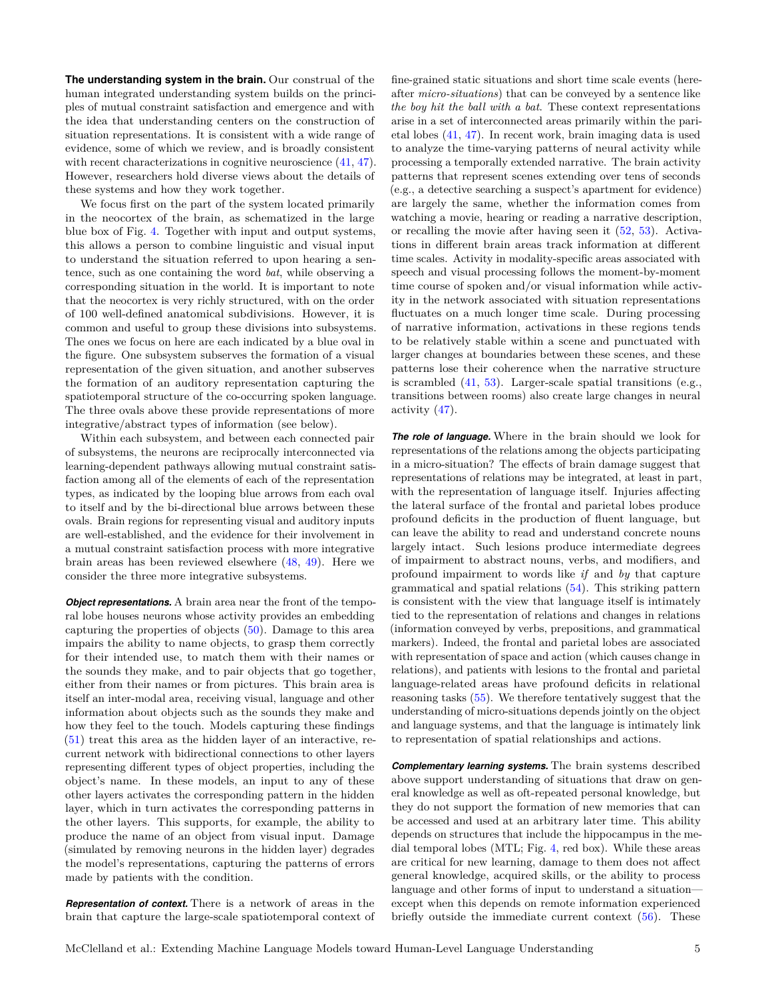**The understanding system in the brain.** Our construal of the human integrated understanding system builds on the principles of mutual constraint satisfaction and emergence and with the idea that understanding centers on the construction of situation representations. It is consistent with a wide range of evidence, some of which we review, and is broadly consistent with recent characterizations in cognitive neuroscience  $(41, 47)$  $(41, 47)$  $(41, 47)$ . However, researchers hold diverse views about the details of these systems and how they work together.

We focus first on the part of the system located primarily in the neocortex of the brain, as schematized in the large blue box of Fig. [4.](#page-3-0) Together with input and output systems, this allows a person to combine linguistic and visual input to understand the situation referred to upon hearing a sentence, such as one containing the word *bat*, while observing a corresponding situation in the world. It is important to note that the neocortex is very richly structured, with on the order of 100 well-defined anatomical subdivisions. However, it is common and useful to group these divisions into subsystems. The ones we focus on here are each indicated by a blue oval in the figure. One subsystem subserves the formation of a visual representation of the given situation, and another subserves the formation of an auditory representation capturing the spatiotemporal structure of the co-occurring spoken language. The three ovals above these provide representations of more integrative/abstract types of information (see below).

Within each subsystem, and between each connected pair of subsystems, the neurons are reciprocally interconnected via learning-dependent pathways allowing mutual constraint satisfaction among all of the elements of each of the representation types, as indicated by the looping blue arrows from each oval to itself and by the bi-directional blue arrows between these ovals. Brain regions for representing visual and auditory inputs are well-established, and the evidence for their involvement in a mutual constraint satisfaction process with more integrative brain areas has been reviewed elsewhere [\(48,](#page-7-30) [49\)](#page-7-31). Here we consider the three more integrative subsystems.

*Object representations.* A brain area near the front of the temporal lobe houses neurons whose activity provides an embedding capturing the properties of objects [\(50\)](#page-7-32). Damage to this area impairs the ability to name objects, to grasp them correctly for their intended use, to match them with their names or the sounds they make, and to pair objects that go together, either from their names or from pictures. This brain area is itself an inter-modal area, receiving visual, language and other information about objects such as the sounds they make and how they feel to the touch. Models capturing these findings [\(51\)](#page-7-33) treat this area as the hidden layer of an interactive, recurrent network with bidirectional connections to other layers representing different types of object properties, including the object's name. In these models, an input to any of these other layers activates the corresponding pattern in the hidden layer, which in turn activates the corresponding patterns in the other layers. This supports, for example, the ability to produce the name of an object from visual input. Damage (simulated by removing neurons in the hidden layer) degrades the model's representations, capturing the patterns of errors made by patients with the condition.

*Representation of context.* There is a network of areas in the brain that capture the large-scale spatiotemporal context of fine-grained static situations and short time scale events (hereafter *micro-situations*) that can be conveyed by a sentence like *the boy hit the ball with a bat*. These context representations arise in a set of interconnected areas primarily within the parietal lobes [\(41,](#page-7-23) [47\)](#page-7-29). In recent work, brain imaging data is used to analyze the time-varying patterns of neural activity while processing a temporally extended narrative. The brain activity patterns that represent scenes extending over tens of seconds (e.g., a detective searching a suspect's apartment for evidence) are largely the same, whether the information comes from watching a movie, hearing or reading a narrative description, or recalling the movie after having seen it [\(52,](#page-7-34) [53\)](#page-7-35). Activations in different brain areas track information at different time scales. Activity in modality-specific areas associated with speech and visual processing follows the moment-by-moment time course of spoken and/or visual information while activity in the network associated with situation representations fluctuates on a much longer time scale. During processing of narrative information, activations in these regions tends to be relatively stable within a scene and punctuated with larger changes at boundaries between these scenes, and these patterns lose their coherence when the narrative structure is scrambled [\(41,](#page-7-23) [53\)](#page-7-35). Larger-scale spatial transitions (e.g., transitions between rooms) also create large changes in neural activity [\(47\)](#page-7-29).

*The role of language.* Where in the brain should we look for representations of the relations among the objects participating in a micro-situation? The effects of brain damage suggest that representations of relations may be integrated, at least in part, with the representation of language itself. Injuries affecting the lateral surface of the frontal and parietal lobes produce profound deficits in the production of fluent language, but can leave the ability to read and understand concrete nouns largely intact. Such lesions produce intermediate degrees of impairment to abstract nouns, verbs, and modifiers, and profound impairment to words like *if* and *by* that capture grammatical and spatial relations [\(54\)](#page-7-36). This striking pattern is consistent with the view that language itself is intimately tied to the representation of relations and changes in relations (information conveyed by verbs, prepositions, and grammatical markers). Indeed, the frontal and parietal lobes are associated with representation of space and action (which causes change in relations), and patients with lesions to the frontal and parietal language-related areas have profound deficits in relational reasoning tasks [\(55\)](#page-7-37). We therefore tentatively suggest that the understanding of micro-situations depends jointly on the object and language systems, and that the language is intimately link to representation of spatial relationships and actions.

*Complementary learning systems.* The brain systems described above support understanding of situations that draw on general knowledge as well as oft-repeated personal knowledge, but they do not support the formation of new memories that can be accessed and used at an arbitrary later time. This ability depends on structures that include the hippocampus in the medial temporal lobes (MTL; Fig. [4,](#page-3-0) red box). While these areas are critical for new learning, damage to them does not affect general knowledge, acquired skills, or the ability to process language and other forms of input to understand a situation except when this depends on remote information experienced briefly outside the immediate current context [\(56\)](#page-7-38). These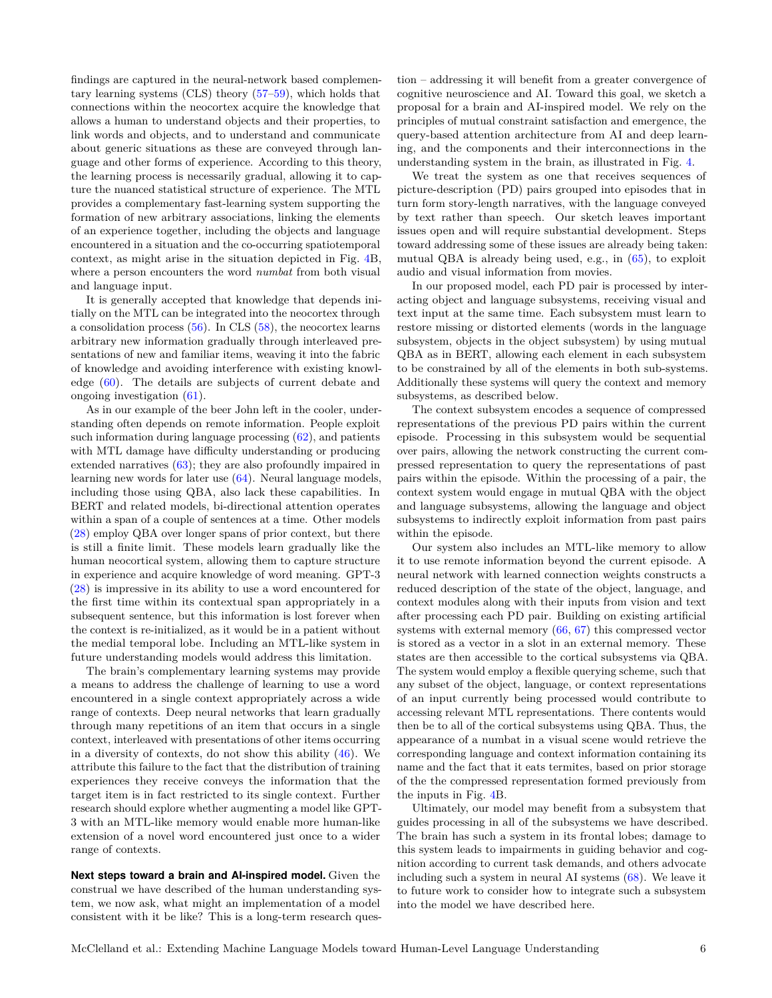findings are captured in the neural-network based complementary learning systems (CLS) theory [\(57–](#page-7-39)[59\)](#page-7-40), which holds that connections within the neocortex acquire the knowledge that allows a human to understand objects and their properties, to link words and objects, and to understand and communicate about generic situations as these are conveyed through language and other forms of experience. According to this theory, the learning process is necessarily gradual, allowing it to capture the nuanced statistical structure of experience. The MTL provides a complementary fast-learning system supporting the formation of new arbitrary associations, linking the elements of an experience together, including the objects and language encountered in a situation and the co-occurring spatiotemporal context, as might arise in the situation depicted in Fig. [4B](#page-3-0), where a person encounters the word *numbat* from both visual and language input.

It is generally accepted that knowledge that depends initially on the MTL can be integrated into the neocortex through a consolidation process  $(56)$ . In CLS  $(58)$ , the neocortex learns arbitrary new information gradually through interleaved presentations of new and familiar items, weaving it into the fabric of knowledge and avoiding interference with existing knowledge [\(60\)](#page-7-42). The details are subjects of current debate and ongoing investigation [\(61\)](#page-7-43).

As in our example of the beer John left in the cooler, understanding often depends on remote information. People exploit such information during language processing  $(62)$ , and patients with MTL damage have difficulty understanding or producing extended narratives [\(63\)](#page-7-45); they are also profoundly impaired in learning new words for later use [\(64\)](#page-7-46). Neural language models, including those using QBA, also lack these capabilities. In BERT and related models, bi-directional attention operates within a span of a couple of sentences at a time. Other models [\(28\)](#page-7-10) employ QBA over longer spans of prior context, but there is still a finite limit. These models learn gradually like the human neocortical system, allowing them to capture structure in experience and acquire knowledge of word meaning. GPT-3 [\(28\)](#page-7-10) is impressive in its ability to use a word encountered for the first time within its contextual span appropriately in a subsequent sentence, but this information is lost forever when the context is re-initialized, as it would be in a patient without the medial temporal lobe. Including an MTL-like system in future understanding models would address this limitation.

The brain's complementary learning systems may provide a means to address the challenge of learning to use a word encountered in a single context appropriately across a wide range of contexts. Deep neural networks that learn gradually through many repetitions of an item that occurs in a single context, interleaved with presentations of other items occurring in a diversity of contexts, do not show this ability  $(46)$ . We attribute this failure to the fact that the distribution of training experiences they receive conveys the information that the target item is in fact restricted to its single context. Further research should explore whether augmenting a model like GPT-3 with an MTL-like memory would enable more human-like extension of a novel word encountered just once to a wider range of contexts.

**Next steps toward a brain and AI-inspired model.** Given the construal we have described of the human understanding system, we now ask, what might an implementation of a model consistent with it be like? This is a long-term research question – addressing it will benefit from a greater convergence of cognitive neuroscience and AI. Toward this goal, we sketch a proposal for a brain and AI-inspired model. We rely on the principles of mutual constraint satisfaction and emergence, the query-based attention architecture from AI and deep learning, and the components and their interconnections in the understanding system in the brain, as illustrated in Fig. [4.](#page-3-0)

We treat the system as one that receives sequences of picture-description (PD) pairs grouped into episodes that in turn form story-length narratives, with the language conveyed by text rather than speech. Our sketch leaves important issues open and will require substantial development. Steps toward addressing some of these issues are already being taken: mutual QBA is already being used, e.g., in [\(65\)](#page-7-47), to exploit audio and visual information from movies.

In our proposed model, each PD pair is processed by interacting object and language subsystems, receiving visual and text input at the same time. Each subsystem must learn to restore missing or distorted elements (words in the language subsystem, objects in the object subsystem) by using mutual QBA as in BERT, allowing each element in each subsystem to be constrained by all of the elements in both sub-systems. Additionally these systems will query the context and memory subsystems, as described below.

The context subsystem encodes a sequence of compressed representations of the previous PD pairs within the current episode. Processing in this subsystem would be sequential over pairs, allowing the network constructing the current compressed representation to query the representations of past pairs within the episode. Within the processing of a pair, the context system would engage in mutual QBA with the object and language subsystems, allowing the language and object subsystems to indirectly exploit information from past pairs within the episode.

Our system also includes an MTL-like memory to allow it to use remote information beyond the current episode. A neural network with learned connection weights constructs a reduced description of the state of the object, language, and context modules along with their inputs from vision and text after processing each PD pair. Building on existing artificial systems with external memory [\(66,](#page-7-48) [67\)](#page-7-49) this compressed vector is stored as a vector in a slot in an external memory. These states are then accessible to the cortical subsystems via QBA. The system would employ a flexible querying scheme, such that any subset of the object, language, or context representations of an input currently being processed would contribute to accessing relevant MTL representations. There contents would then be to all of the cortical subsystems using QBA. Thus, the appearance of a numbat in a visual scene would retrieve the corresponding language and context information containing its name and the fact that it eats termites, based on prior storage of the the compressed representation formed previously from the inputs in Fig. [4B](#page-3-0).

Ultimately, our model may benefit from a subsystem that guides processing in all of the subsystems we have described. The brain has such a system in its frontal lobes; damage to this system leads to impairments in guiding behavior and cognition according to current task demands, and others advocate including such a system in neural AI systems [\(68\)](#page-7-50). We leave it to future work to consider how to integrate such a subsystem into the model we have described here.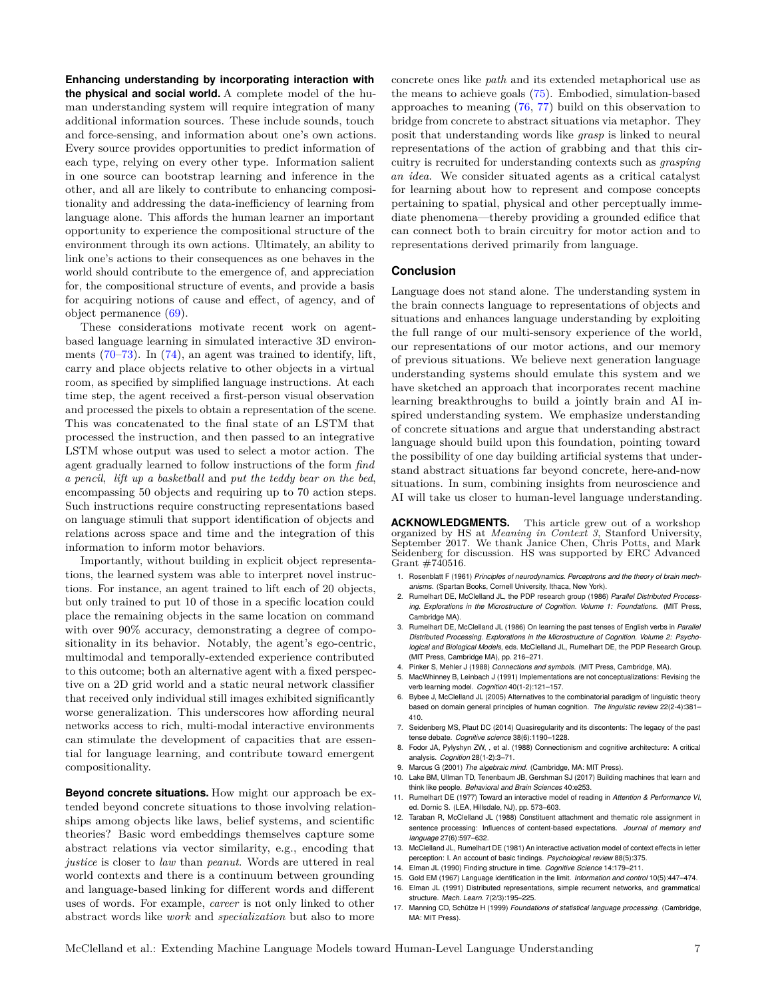**Enhancing understanding by incorporating interaction with the physical and social world.** A complete model of the human understanding system will require integration of many additional information sources. These include sounds, touch and force-sensing, and information about one's own actions. Every source provides opportunities to predict information of each type, relying on every other type. Information salient in one source can bootstrap learning and inference in the other, and all are likely to contribute to enhancing compositionality and addressing the data-inefficiency of learning from language alone. This affords the human learner an important opportunity to experience the compositional structure of the environment through its own actions. Ultimately, an ability to link one's actions to their consequences as one behaves in the world should contribute to the emergence of, and appreciation for, the compositional structure of events, and provide a basis for acquiring notions of cause and effect, of agency, and of object permanence [\(69\)](#page-7-51).

These considerations motivate recent work on agentbased language learning in simulated interactive 3D environments  $(70-73)$  $(70-73)$ . In  $(74)$ , an agent was trained to identify, lift, carry and place objects relative to other objects in a virtual room, as specified by simplified language instructions. At each time step, the agent received a first-person visual observation and processed the pixels to obtain a representation of the scene. This was concatenated to the final state of an LSTM that processed the instruction, and then passed to an integrative LSTM whose output was used to select a motor action. The agent gradually learned to follow instructions of the form *find a pencil*, *lift up a basketball* and *put the teddy bear on the bed*, encompassing 50 objects and requiring up to 70 action steps. Such instructions require constructing representations based on language stimuli that support identification of objects and relations across space and time and the integration of this information to inform motor behaviors.

Importantly, without building in explicit object representations, the learned system was able to interpret novel instructions. For instance, an agent trained to lift each of 20 objects, but only trained to put 10 of those in a specific location could place the remaining objects in the same location on command with over 90% accuracy, demonstrating a degree of compositionality in its behavior. Notably, the agent's ego-centric, multimodal and temporally-extended experience contributed to this outcome; both an alternative agent with a fixed perspective on a 2D grid world and a static neural network classifier that received only individual still images exhibited significantly worse generalization. This underscores how affording neural networks access to rich, multi-modal interactive environments can stimulate the development of capacities that are essential for language learning, and contribute toward emergent compositionality.

**Beyond concrete situations.** How might our approach be extended beyond concrete situations to those involving relationships among objects like laws, belief systems, and scientific theories? Basic word embeddings themselves capture some abstract relations via vector similarity, e.g., encoding that *justice* is closer to *law* than *peanut*. Words are uttered in real world contexts and there is a continuum between grounding and language-based linking for different words and different uses of words. For example, *career* is not only linked to other abstract words like *work* and *specialization* but also to more

concrete ones like *path* and its extended metaphorical use as the means to achieve goals [\(75\)](#page-7-55). Embodied, simulation-based approaches to meaning [\(76,](#page-7-56) [77\)](#page-7-57) build on this observation to bridge from concrete to abstract situations via metaphor. They posit that understanding words like *grasp* is linked to neural representations of the action of grabbing and that this circuitry is recruited for understanding contexts such as *grasping an idea*. We consider situated agents as a critical catalyst for learning about how to represent and compose concepts pertaining to spatial, physical and other perceptually immediate phenomena—thereby providing a grounded edifice that can connect both to brain circuitry for motor action and to representations derived primarily from language.

#### **Conclusion**

Language does not stand alone. The understanding system in the brain connects language to representations of objects and situations and enhances language understanding by exploiting the full range of our multi-sensory experience of the world, our representations of our motor actions, and our memory of previous situations. We believe next generation language understanding systems should emulate this system and we have sketched an approach that incorporates recent machine learning breakthroughs to build a jointly brain and AI inspired understanding system. We emphasize understanding of concrete situations and argue that understanding abstract language should build upon this foundation, pointing toward the possibility of one day building artificial systems that understand abstract situations far beyond concrete, here-and-now situations. In sum, combining insights from neuroscience and AI will take us closer to human-level language understanding.

**ACKNOWLEDGMENTS.** This article grew out of a workshop organized by HS at *Meaning in Context 3*, Stanford University, September 2017. We thank Janice Chen, Chris Potts, and Mark Seidenberg for discussion. HS was supported by ERC Advanced Grant #740516.

- <span id="page-6-0"></span>1. Rosenblatt F (1961) *Principles of neurodynamics. Perceptrons and the theory of brain mechanisms*. (Spartan Books, Cornell University, Ithaca, New York).
- <span id="page-6-1"></span>2. Rumelhart DE, McClelland JL, the PDP research group (1986) *Parallel Distributed Processing. Explorations in the Microstructure of Cognition. Volume 1: Foundations*. (MIT Press, Cambridge MA).
- <span id="page-6-2"></span>3. Rumelhart DE, McClelland JL (1986) On learning the past tenses of English verbs in *Parallel Distributed Processing. Explorations in the Microstructure of Cognition. Volume 2: Psychological and Biological Models*, eds. McClelland JL, Rumelhart DE, the PDP Research Group. (MIT Press, Cambridge MA), pp. 216–271.
- <span id="page-6-3"></span>4. Pinker S, Mehler J (1988) *Connections and symbols*. (MIT Press, Cambridge, MA).
- <span id="page-6-4"></span>5. MacWhinney B, Leinbach J (1991) Implementations are not conceptualizations: Revising the verb learning model. *Cognition* 40(1-2):121–157.
- <span id="page-6-5"></span>6. Bybee J, McClelland JL (2005) Alternatives to the combinatorial paradigm of linguistic theory based on domain general principles of human cognition. *The linguistic review* 22(2-4):381– 410.
- <span id="page-6-6"></span>7. Seidenberg MS, Plaut DC (2014) Quasiregularity and its discontents: The legacy of the past tense debate. *Cognitive science* 38(6):1190–1228.
- <span id="page-6-7"></span>8. Fodor JA, Pylyshyn ZW, , et al. (1988) Connectionism and cognitive architecture: A critical analysis. *Cognition* 28(1-2):3–71.
- 9. Marcus G (2001) *The algebraic mind*. (Cambridge, MA: MIT Press).
- <span id="page-6-8"></span>10. Lake BM, Ullman TD, Tenenbaum JB, Gershman SJ (2017) Building machines that learn and think like people. *Behavioral and Brain Sciences* 40:e253.
- <span id="page-6-9"></span>11. Rumelhart DE (1977) Toward an interactive model of reading in *Attention & Performance VI*, ed. Dornic S. (LEA, Hillsdale, NJ), pp. 573–603.
- <span id="page-6-10"></span>12. Taraban R, McClelland JL (1988) Constituent attachment and thematic role assignment in sentence processing: Influences of content-based expectations. *Journal of memory and language* 27(6):597–632.
- <span id="page-6-11"></span>13. McClelland JL, Rumelhart DE (1981) An interactive activation model of context effects in letter perception: I. An account of basic findings. *Psychological review* 88(5):375.
- <span id="page-6-12"></span>14. Elman JL (1990) Finding structure in time. *Cognitive Science* 14:179–211.
- <span id="page-6-13"></span>15. Gold EM (1967) Language identification in the limit. *Information and control* 10(5):447–474.
- <span id="page-6-14"></span>16. Elman JL (1991) Distributed representations, simple recurrent networks, and grammatical structure. *Mach. Learn.* 7(2/3):195–225.
- <span id="page-6-15"></span>17. Manning CD, Schütze H (1999) *Foundations of statistical language processing*. (Cambridge, MA: MIT Press).